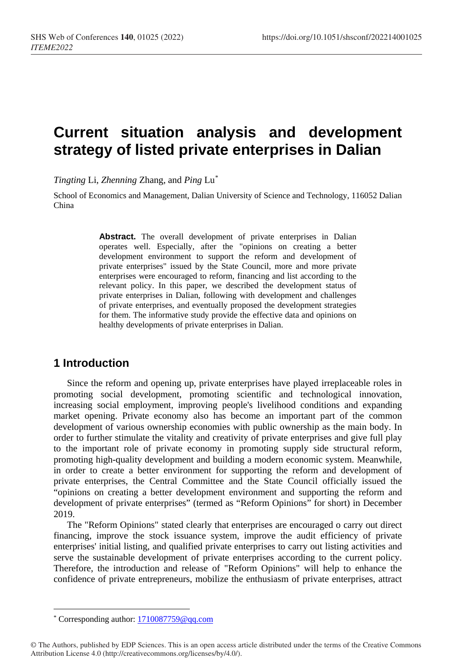# **Current situation analysis and development strategy of listed private enterprises in Dalian**

*Tingting* Li, *Zhenning* Zhang, and *Ping* Lu[\\*](#page-0-0)

School of Economics and Management, Dalian University of Science and Technology, 116052 Dalian China

> Abstract. The overall development of private enterprises in Dalian operates well. Especially, after the "opinions on creating a better development environment to support the reform and development of private enterprises" issued by the State Council, more and more private enterprises were encouraged to reform, financing and list according to the relevant policy. In this paper, we described the development status of private enterprises in Dalian, following with development and challenges of private enterprises, and eventually proposed the development strategies for them. The informative study provide the effective data and opinions on healthy developments of private enterprises in Dalian.

### **1 Introduction**

Since the reform and opening up, private enterprises have played irreplaceable roles in promoting social development, promoting scientific and technological innovation, increasing social employment, improving people's livelihood conditions and expanding market opening. Private economy also has become an important part of the common development of various ownership economies with public ownership as the main body. In order to further stimulate the vitality and creativity of private enterprises and give full play to the important role of private economy in promoting supply side structural reform, promoting high-quality development and building a modern economic system. Meanwhile, in order to create a better environment for supporting the reform and development of private enterprises, the Central Committee and the State Council officially issued the "opinions on creating a better development environment and supporting the reform and development of private enterprises" (termed as "Reform Opinions" for short) in December 2019.

The "Reform Opinions" stated clearly that enterprises are encouraged o carry out direct financing, improve the stock issuance system, improve the audit efficiency of private enterprises' initial listing, and qualified private enterprises to carry out listing activities and serve the sustainable development of private enterprises according to the current policy. Therefore, the introduction and release of "Reform Opinions" will help to enhance the confidence of private entrepreneurs, mobilize the enthusiasm of private enterprises, attract

 $\overline{a}$ \* Corresponding author: 1710087759@qq.com

<span id="page-0-0"></span><sup>©</sup> The Authors, published by EDP Sciences. This is an open access article distributed under the terms of the Creative Commons Attribution License 4.0 (http://creativecommons.org/licenses/by/4.0/).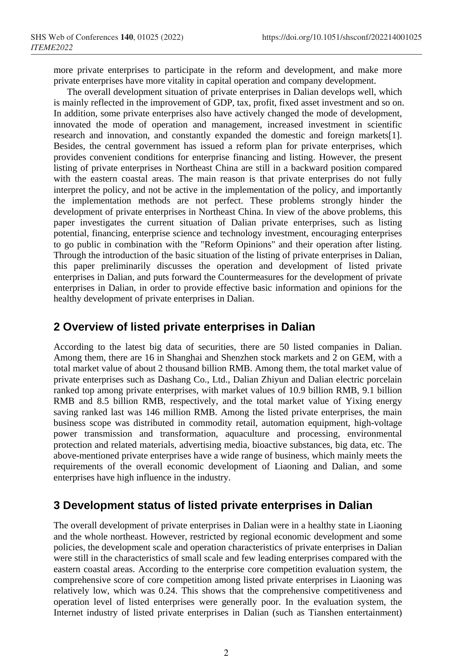more private enterprises to participate in the reform and development, and make more private enterprises have more vitality in capital operation and company development.

The overall development situation of private enterprises in Dalian develops well, which is mainly reflected in the improvement of GDP, tax, profit, fixed asset investment and so on. In addition, some private enterprises also have actively changed the mode of development, innovated the mode of operation and management, increased investment in scientific research and innovation, and constantly expanded the domestic and foreign markets[1]. Besides, the central government has issued a reform plan for private enterprises, which provides convenient conditions for enterprise financing and listing. However, the present listing of private enterprises in Northeast China are still in a backward position compared with the eastern coastal areas. The main reason is that private enterprises do not fully interpret the policy, and not be active in the implementation of the policy, and importantly the implementation methods are not perfect. These problems strongly hinder the development of private enterprises in Northeast China. In view of the above problems, this paper investigates the current situation of Dalian private enterprises, such as listing potential, financing, enterprise science and technology investment, encouraging enterprises to go public in combination with the "Reform Opinions" and their operation after listing. Through the introduction of the basic situation of the listing of private enterprises in Dalian, this paper preliminarily discusses the operation and development of listed private enterprises in Dalian, and puts forward the Countermeasures for the development of private enterprises in Dalian, in order to provide effective basic information and opinions for the healthy development of private enterprises in Dalian.

### **2 Overview of listed private enterprises in Dalian**

According to the latest big data of securities, there are 50 listed companies in Dalian. Among them, there are 16 in Shanghai and Shenzhen stock markets and 2 on GEM, with a total market value of about 2 thousand billion RMB. Among them, the total market value of private enterprises such as Dashang Co., Ltd., Dalian Zhiyun and Dalian electric porcelain ranked top among private enterprises, with market values of 10.9 billion RMB, 9.1 billion RMB and 8.5 billion RMB, respectively, and the total market value of Yixing energy saving ranked last was 146 million RMB. Among the listed private enterprises, the main business scope was distributed in commodity retail, automation equipment, high-voltage power transmission and transformation, aquaculture and processing, environmental protection and related materials, advertising media, bioactive substances, big data, etc. The above-mentioned private enterprises have a wide range of business, which mainly meets the requirements of the overall economic development of Liaoning and Dalian, and some enterprises have high influence in the industry.

### **3 Development status of listed private enterprises in Dalian**

The overall development of private enterprises in Dalian were in a healthy state in Liaoning and the whole northeast. However, restricted by regional economic development and some policies, the development scale and operation characteristics of private enterprises in Dalian were still in the characteristics of small scale and few leading enterprises compared with the eastern coastal areas. According to the enterprise core competition evaluation system, the comprehensive score of core competition among listed private enterprises in Liaoning was relatively low, which was 0.24. This shows that the comprehensive competitiveness and operation level of listed enterprises were generally poor. In the evaluation system, the Internet industry of listed private enterprises in Dalian (such as Tianshen entertainment)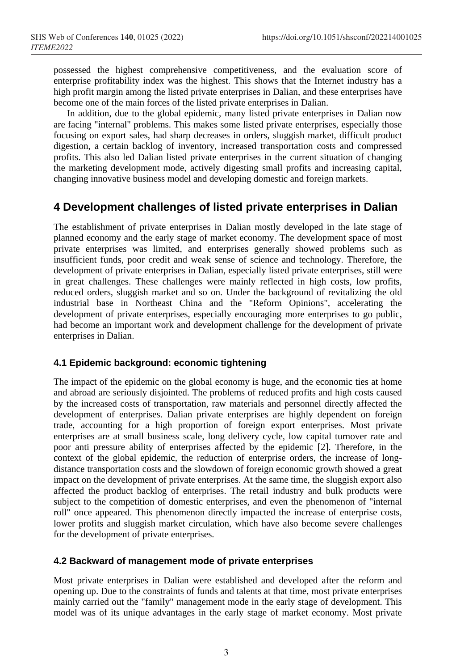possessed the highest comprehensive competitiveness, and the evaluation score of enterprise profitability index was the highest. This shows that the Internet industry has a high profit margin among the listed private enterprises in Dalian, and these enterprises have become one of the main forces of the listed private enterprises in Dalian.

In addition, due to the global epidemic, many listed private enterprises in Dalian now are facing "internal" problems. This makes some listed private enterprises, especially those focusing on export sales, had sharp decreases in orders, sluggish market, difficult product digestion, a certain backlog of inventory, increased transportation costs and compressed profits. This also led Dalian listed private enterprises in the current situation of changing the marketing development mode, actively digesting small profits and increasing capital, changing innovative business model and developing domestic and foreign markets.

# **4 Development challenges of listed private enterprises in Dalian**

The establishment of private enterprises in Dalian mostly developed in the late stage of planned economy and the early stage of market economy. The development space of most private enterprises was limited, and enterprises generally showed problems such as insufficient funds, poor credit and weak sense of science and technology. Therefore, the development of private enterprises in Dalian, especially listed private enterprises, still were in great challenges. These challenges were mainly reflected in high costs, low profits, reduced orders, sluggish market and so on. Under the background of revitalizing the old industrial base in Northeast China and the "Reform Opinions", accelerating the development of private enterprises, especially encouraging more enterprises to go public, had become an important work and development challenge for the development of private enterprises in Dalian.

#### **4.1 Epidemic background: economic tightening**

The impact of the epidemic on the global economy is huge, and the economic ties at home and abroad are seriously disjointed. The problems of reduced profits and high costs caused by the increased costs of transportation, raw materials and personnel directly affected the development of enterprises. Dalian private enterprises are highly dependent on foreign trade, accounting for a high proportion of foreign export enterprises. Most private enterprises are at small business scale, long delivery cycle, low capital turnover rate and poor anti pressure ability of enterprises affected by the epidemic [2]. Therefore, in the context of the global epidemic, the reduction of enterprise orders, the increase of longdistance transportation costs and the slowdown of foreign economic growth showed a great impact on the development of private enterprises. At the same time, the sluggish export also affected the product backlog of enterprises. The retail industry and bulk products were subject to the competition of domestic enterprises, and even the phenomenon of "internal roll" once appeared. This phenomenon directly impacted the increase of enterprise costs, lower profits and sluggish market circulation, which have also become severe challenges for the development of private enterprises.

#### **4.2 Backward of management mode of private enterprises**

Most private enterprises in Dalian were established and developed after the reform and opening up. Due to the constraints of funds and talents at that time, most private enterprises mainly carried out the "family" management mode in the early stage of development. This model was of its unique advantages in the early stage of market economy. Most private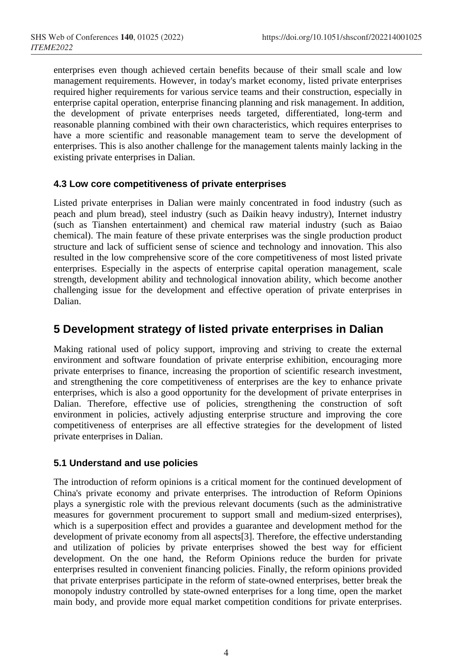enterprises even though achieved certain benefits because of their small scale and low management requirements. However, in today's market economy, listed private enterprises required higher requirements for various service teams and their construction, especially in enterprise capital operation, enterprise financing planning and risk management. In addition, the development of private enterprises needs targeted, differentiated, long-term and reasonable planning combined with their own characteristics, which requires enterprises to have a more scientific and reasonable management team to serve the development of enterprises. This is also another challenge for the management talents mainly lacking in the existing private enterprises in Dalian.

#### **4.3 Low core competitiveness of private enterprises**

Listed private enterprises in Dalian were mainly concentrated in food industry (such as peach and plum bread), steel industry (such as Daikin heavy industry), Internet industry (such as Tianshen entertainment) and chemical raw material industry (such as Baiao chemical). The main feature of these private enterprises was the single production product structure and lack of sufficient sense of science and technology and innovation. This also resulted in the low comprehensive score of the core competitiveness of most listed private enterprises. Especially in the aspects of enterprise capital operation management, scale strength, development ability and technological innovation ability, which become another challenging issue for the development and effective operation of private enterprises in Dalian.

### **5 Development strategy of listed private enterprises in Dalian**

Making rational used of policy support, improving and striving to create the external environment and software foundation of private enterprise exhibition, encouraging more private enterprises to finance, increasing the proportion of scientific research investment, and strengthening the core competitiveness of enterprises are the key to enhance private enterprises, which is also a good opportunity for the development of private enterprises in Dalian. Therefore, effective use of policies, strengthening the construction of soft environment in policies, actively adjusting enterprise structure and improving the core competitiveness of enterprises are all effective strategies for the development of listed private enterprises in Dalian.

#### **5.1 Understand and use policies**

The introduction of reform opinions is a critical moment for the continued development of China's private economy and private enterprises. The introduction of Reform Opinions plays a synergistic role with the previous relevant documents (such as the administrative measures for government procurement to support small and medium-sized enterprises), which is a superposition effect and provides a guarantee and development method for the development of private economy from all aspects[3]. Therefore, the effective understanding and utilization of policies by private enterprises showed the best way for efficient development. On the one hand, the Reform Opinions reduce the burden for private enterprises resulted in convenient financing policies. Finally, the reform opinions provided that private enterprises participate in the reform of state-owned enterprises, better break the monopoly industry controlled by state-owned enterprises for a long time, open the market main body, and provide more equal market competition conditions for private enterprises.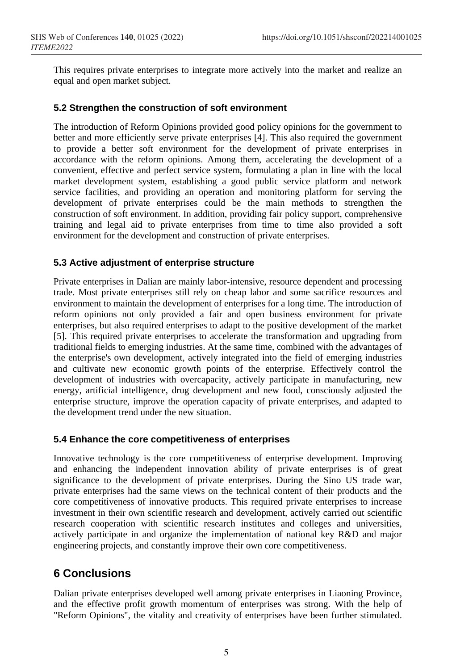This requires private enterprises to integrate more actively into the market and realize an equal and open market subject.

#### **5.2 Strengthen the construction of soft environment**

The introduction of Reform Opinions provided good policy opinions for the government to better and more efficiently serve private enterprises [4]. This also required the government to provide a better soft environment for the development of private enterprises in accordance with the reform opinions. Among them, accelerating the development of a convenient, effective and perfect service system, formulating a plan in line with the local market development system, establishing a good public service platform and network service facilities, and providing an operation and monitoring platform for serving the development of private enterprises could be the main methods to strengthen the construction of soft environment. In addition, providing fair policy support, comprehensive training and legal aid to private enterprises from time to time also provided a soft environment for the development and construction of private enterprises.

#### **5.3 Active adjustment of enterprise structure**

Private enterprises in Dalian are mainly labor-intensive, resource dependent and processing trade. Most private enterprises still rely on cheap labor and some sacrifice resources and environment to maintain the development of enterprises for a long time. The introduction of reform opinions not only provided a fair and open business environment for private enterprises, but also required enterprises to adapt to the positive development of the market [5]. This required private enterprises to accelerate the transformation and upgrading from traditional fields to emerging industries. At the same time, combined with the advantages of the enterprise's own development, actively integrated into the field of emerging industries and cultivate new economic growth points of the enterprise. Effectively control the development of industries with overcapacity, actively participate in manufacturing, new energy, artificial intelligence, drug development and new food, consciously adjusted the enterprise structure, improve the operation capacity of private enterprises, and adapted to the development trend under the new situation.

#### **5.4 Enhance the core competitiveness of enterprises**

Innovative technology is the core competitiveness of enterprise development. Improving and enhancing the independent innovation ability of private enterprises is of great significance to the development of private enterprises. During the Sino US trade war, private enterprises had the same views on the technical content of their products and the core competitiveness of innovative products. This required private enterprises to increase investment in their own scientific research and development, actively carried out scientific research cooperation with scientific research institutes and colleges and universities, actively participate in and organize the implementation of national key R&D and major engineering projects, and constantly improve their own core competitiveness.

# **6 Conclusions**

Dalian private enterprises developed well among private enterprises in Liaoning Province, and the effective profit growth momentum of enterprises was strong. With the help of "Reform Opinions", the vitality and creativity of enterprises have been further stimulated.